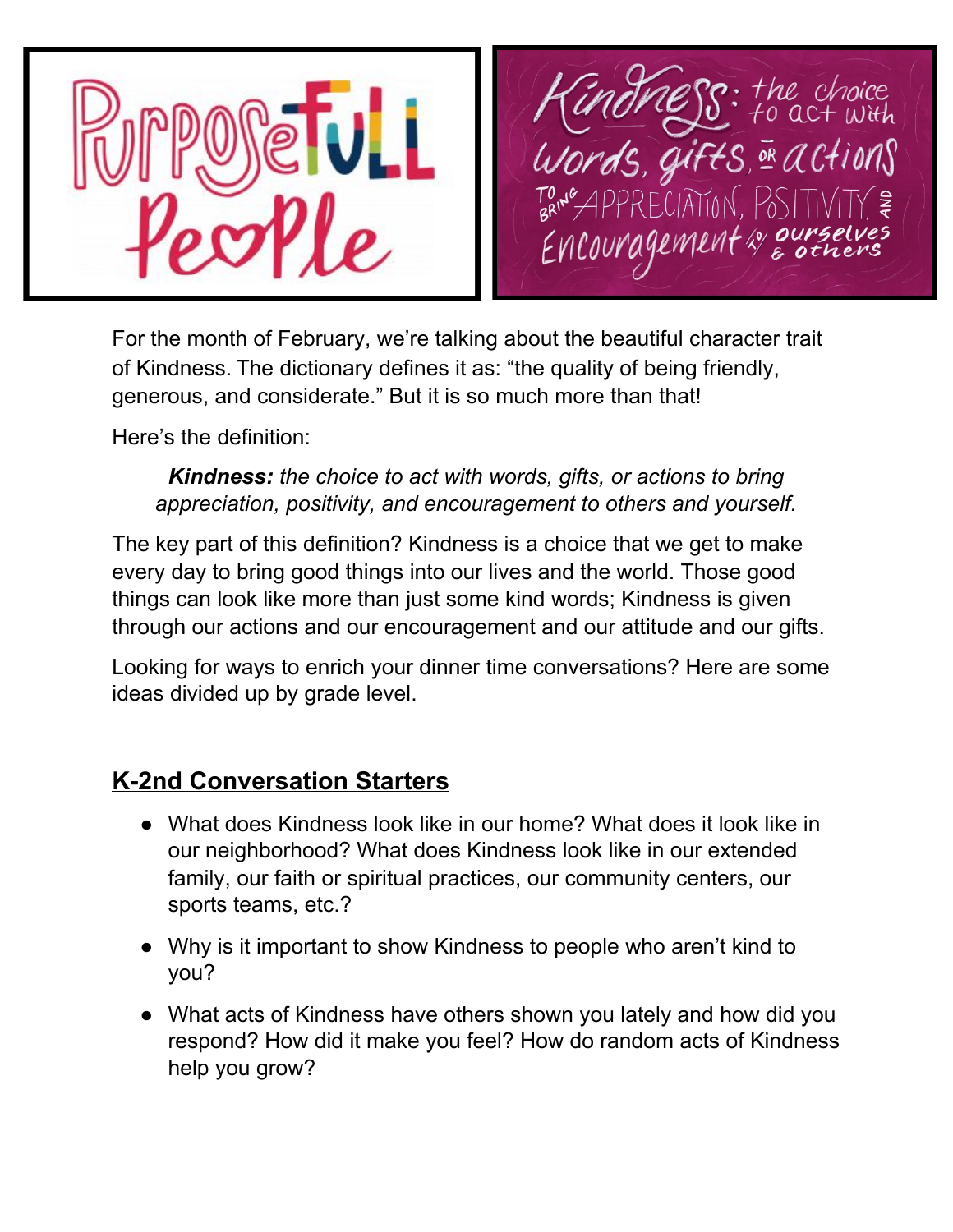

For the month of February, we're talking about the beautiful character trait of Kindness. The dictionary defines it as: "the quality of being friendly, generous, and considerate." But it is so much more than that!

Here's the definition:

#### *Kindness: the choice to act with words, gifts, or actions to bring appreciation, positivity, and encouragement to others and yourself.*

The key part of this definition? Kindness is a choice that we get to make every day to bring good things into our lives and the world. Those good things can look like more than just some kind words; Kindness is given through our actions and our encouragement and our attitude and our gifts.

Looking for ways to enrich your dinner time conversations? Here are some ideas divided up by grade level.

# **K-2nd Conversation Starters**

- What does Kindness look like in our home? What does it look like in our neighborhood? What does Kindness look like in our extended family, our faith or spiritual practices, our community centers, our sports teams, etc.?
- Why is it important to show Kindness to people who aren't kind to you?
- What acts of Kindness have others shown you lately and how did you respond? How did it make you feel? How do random acts of Kindness help you grow?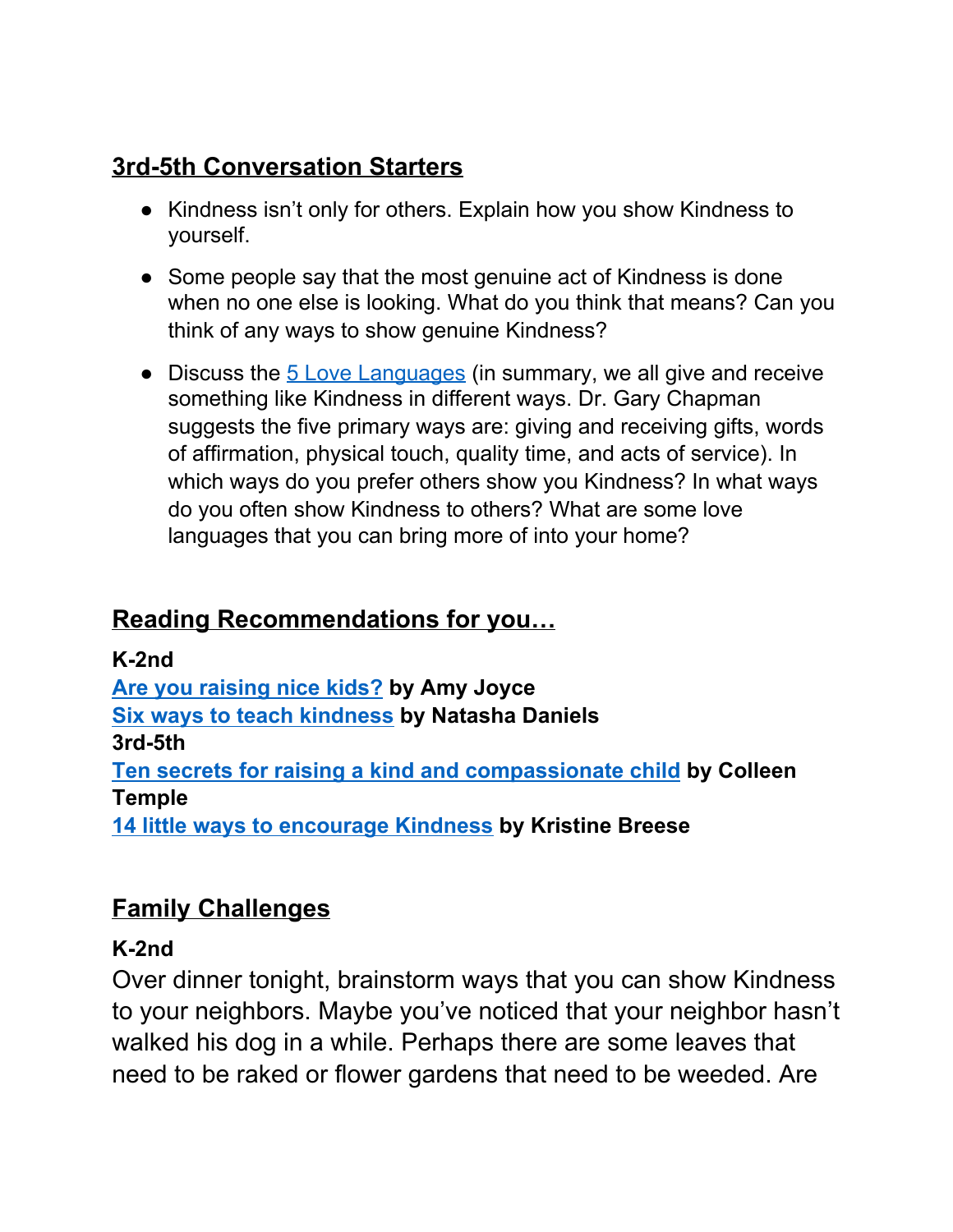# **3rd-5th Conversation Starters**

- Kindness isn't only for others. Explain how you show Kindness to yourself.
- Some people say that the most genuine act of Kindness is done when no one else is looking. What do you think that means? Can you think of any ways to show genuine Kindness?
- Discuss the 5 Love [Languages](https://www.5lovelanguages.com/) (in summary, we all give and receive something like Kindness in different ways. Dr. Gary Chapman suggests the five primary ways are: giving and receiving gifts, words of affirmation, physical touch, quality time, and acts of service). In which ways do you prefer others show you Kindness? In what ways do you often show Kindness to others? What are some love languages that you can bring more of into your home?

# **Reading Recommendations for you…**

### **K-2nd**

**Are you [raising](https://www.washingtonpost.com/news/parenting/wp/2014/07/18/are-you-raising-nice-kids-a-harvard-psychologist-gives-5-ways-to-raise-them-to-be-kind/?utm_term=.7f97f9b82fb0) nice kids? by Amy Joyce**

**Six ways to teach [kindness](https://www.anxioustoddlers.com/teaching-your-kids-to-be-kind/#.XLu5v5NKh0I) by Natasha Daniels**

#### **3rd-5th**

**Ten secrets for raising a kind and [compassionate](https://www.mother.ly/child/10-ways-to-raise-kind-compassionate-children) child by Colleen Temple**

**14 little ways to [encourage](https://www.parents.com/parenting/better-parenting/advice/14-little-ways-to-encourage-kindness/) Kindness by Kristine Breese**

# **Family Challenges**

## **K-2nd**

Over dinner tonight, brainstorm ways that you can show Kindness to your neighbors. Maybe you've noticed that your neighbor hasn't walked his dog in a while. Perhaps there are some leaves that need to be raked or flower gardens that need to be weeded. Are